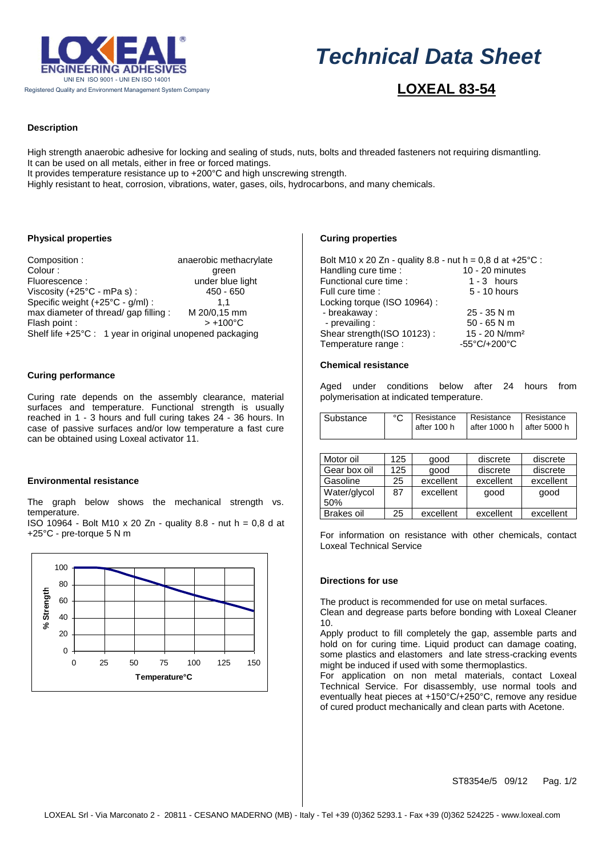

# $\overline{a}$ *Technical Data Sheet*

# **LOXEAL 83-54**

## **Description**

High strength anaerobic adhesive for locking and sealing of studs, nuts, bolts and threaded fasteners not requiring dismantling. It can be used on all metals, either in free or forced matings.

It provides temperature resistance up to +200°C and high unscrewing strength.

Highly resistant to heat, corrosion, vibrations, water, gases, oils, hydrocarbons, and many chemicals.

#### **Physical properties**

Composition : anaerobic methacrylate Colour : expression of the state of the state of the state of the state of the state of the state of the state of the state of the state of the state of the state of the state of the state of the state of the state of the Fluorescence : under blue light Viscosity (+25°C - mPa s) : 450 - 650 Specific weight (+25°C - g/ml) : 1,1<br>max diameter of thread/ gap filling : M 20/0,15 mm max diameter of thread/ gap filling : M 20/0,15 mn<br>Flash point :  $> +100^{\circ}$ C Flash point : Shelf life +25°C : 1 year in original unopened packaging

#### **Curing performance**

Curing rate depends on the assembly clearance, material surfaces and temperature. Functional strength is usually reached in 1 - 3 hours and full curing takes 24 - 36 hours. In case of passive surfaces and/or low temperature a fast cure can be obtained using Loxeal activator 11.

#### **Environmental resistance**

The graph below shows the mechanical strength vs. temperature.

ISO 10964 - Bolt M10 x 20 Zn - quality 8.8 - nut h = 0,8 d at +25°C - pre-torque 5 N m



#### **Curing properties**

| Bolt M10 x 20 Zn - quality 8.8 - nut h = 0,8 d at +25 $^{\circ}$ C : |                                                          |  |  |  |
|----------------------------------------------------------------------|----------------------------------------------------------|--|--|--|
| Handling cure time :                                                 | $10 - 20$ minutes                                        |  |  |  |
| Functional cure time:                                                | $1 - 3$ hours                                            |  |  |  |
| Full cure time:                                                      | 5 - 10 hours                                             |  |  |  |
| Locking torque (ISO 10964):                                          |                                                          |  |  |  |
| - breakaway :                                                        | $25 - 35$ N m                                            |  |  |  |
| - prevailing :                                                       | $50 - 65$ N m                                            |  |  |  |
| Shear strength(ISO 10123):                                           | 15 - 20 N/mm <sup>2</sup>                                |  |  |  |
| Temperature range :                                                  | -55 $\mathrm{^{\circ}C}/\mathrm{+200\mathrm{^{\circ}C}}$ |  |  |  |

#### **Chemical resistance**

Aged under conditions below after 24 hours from polymerisation at indicated temperature.

| Substance | Resistance<br>after 100 h | Resistance Resistance<br>$\sqrt{at}$ after 1000 h $\sqrt{at}$ after 5000 h |  |
|-----------|---------------------------|----------------------------------------------------------------------------|--|
|           |                           |                                                                            |  |

| Motor oil           | 125 | good      | discrete  | discrete  |
|---------------------|-----|-----------|-----------|-----------|
| Gear box oil        | 125 | qood      | discrete  | discrete  |
| Gasoline            | 25  | excellent | excellent | excellent |
| Water/glycol<br>50% | 87  | excellent | good      | good      |
| <b>Brakes oil</b>   | 25  | excellent | excellent | excellent |

For information on resistance with other chemicals, contact Loxeal Technical Service

#### **Directions for use**

The product is recommended for use on metal surfaces.

Clean and degrease parts before bonding with Loxeal Cleaner 10.

Apply product to fill completely the gap, assemble parts and hold on for curing time. Liquid product can damage coating, some plastics and elastomers and late stress-cracking events might be induced if used with some thermoplastics.

For application on non metal materials, contact Loxeal Technical Service. For disassembly, use normal tools and eventually heat pieces at +150°C/+250°C, remove any residue of cured product mechanically and clean parts with Acetone.

ST8354e/5 09/12 Pag. 1/2